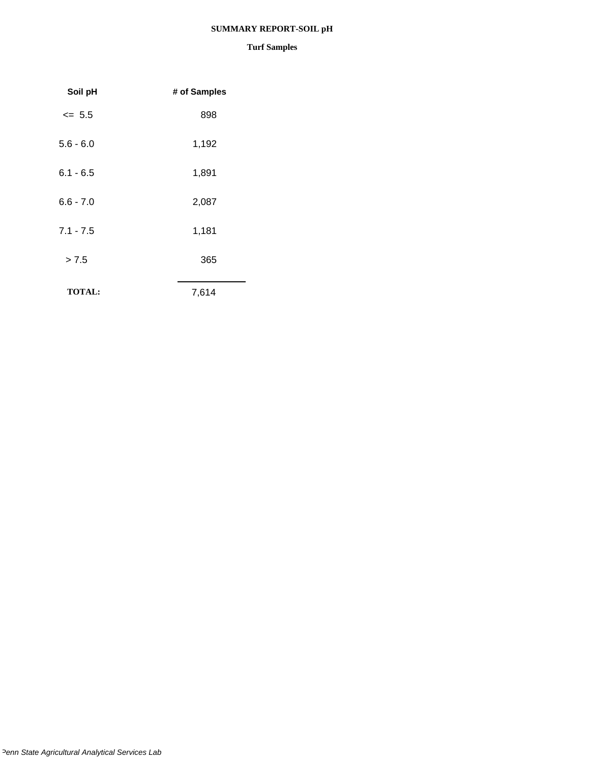## **SUMMARY REPORT-SOIL pH**

| Soil pH       | # of Samples |
|---------------|--------------|
| $\leq$ 5.5    | 898          |
| $5.6 - 6.0$   | 1,192        |
| $6.1 - 6.5$   | 1,891        |
| $6.6 - 7.0$   | 2,087        |
| $7.1 - 7.5$   | 1,181        |
| > 7.5         | 365          |
| <b>TOTAL:</b> | 7,614        |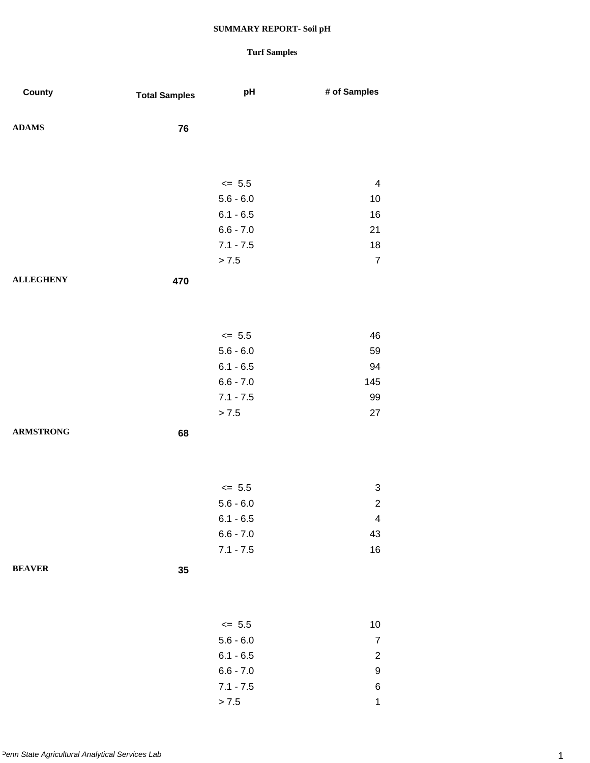| County           | <b>Total Samples</b> | pH                        | # of Samples            |
|------------------|----------------------|---------------------------|-------------------------|
| <b>ADAMS</b>     | 76                   |                           |                         |
|                  |                      |                           |                         |
|                  |                      | $\le$ 5.5                 | $\overline{\mathbf{4}}$ |
|                  |                      | $5.6 - 6.0$               | 10                      |
|                  |                      | $6.1 - 6.5$               | 16                      |
|                  |                      | $6.6 - 7.0$               | 21                      |
|                  |                      | $7.1 - 7.5$               | 18                      |
|                  |                      | > 7.5                     | $\overline{7}$          |
| <b>ALLEGHENY</b> | 470                  |                           |                         |
|                  |                      |                           |                         |
|                  |                      |                           |                         |
|                  |                      | $\le$ 5.5                 | 46                      |
|                  |                      | $5.6 - 6.0$               | 59                      |
|                  |                      | $6.1 - 6.5$               | 94                      |
|                  |                      | $6.6 - 7.0$               | 145                     |
|                  |                      | $7.1 - 7.5$               | 99                      |
|                  |                      | > 7.5                     | 27                      |
| <b>ARMSTRONG</b> | 68                   |                           |                         |
|                  |                      |                           |                         |
|                  |                      |                           |                         |
|                  |                      |                           |                         |
|                  |                      | $\leq$ 5.5<br>$5.6 - 6.0$ | 3<br>$\overline{2}$     |
|                  |                      | $6.1 - 6.5$               | $\overline{\mathbf{4}}$ |
|                  |                      | $6.6 - 7.0$               | 43                      |
|                  |                      | $7.1 - 7.5$               | $16\,$                  |
| <b>BEAVER</b>    | 35                   |                           |                         |
|                  |                      |                           |                         |
|                  |                      |                           |                         |
|                  |                      |                           |                         |
|                  |                      | $\leq$ 5.5                | $10$                    |
|                  |                      | $5.6 - 6.0$               | $\overline{7}$          |
|                  |                      | $6.1 - 6.5$               | $\overline{\mathbf{c}}$ |
|                  |                      | $6.6 - 7.0$               | 9                       |
|                  |                      | $7.1 - 7.5$               | 6                       |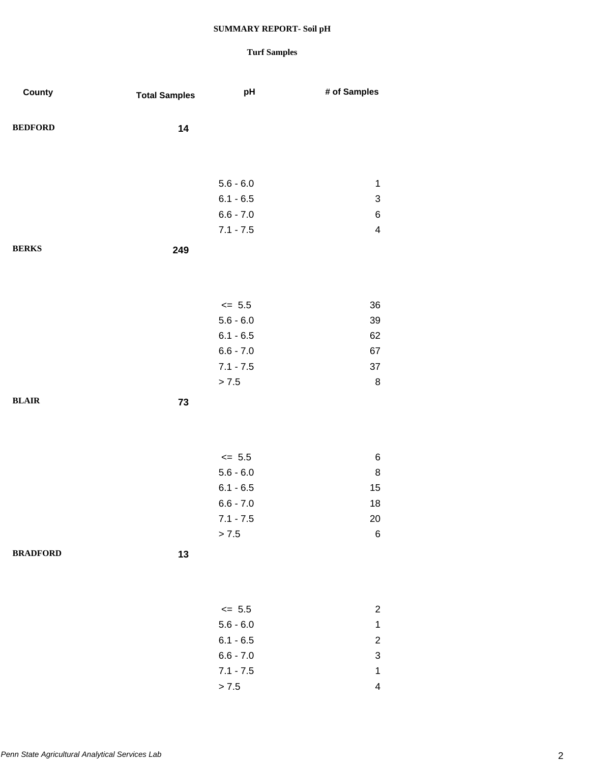| County          | <b>Total Samples</b> | pH                         | # of Samples              |
|-----------------|----------------------|----------------------------|---------------------------|
| <b>BEDFORD</b>  | 14                   |                            |                           |
|                 |                      |                            |                           |
|                 |                      | $5.6 - 6.0$                | $\mathbf{1}$              |
|                 |                      | $6.1 - 6.5$                | $\ensuremath{\mathsf{3}}$ |
|                 |                      | $6.6 - 7.0$                | $\,$ 6 $\,$               |
|                 |                      | $7.1 - 7.5$                | $\overline{\mathbf{4}}$   |
| <b>BERKS</b>    | 249                  |                            |                           |
|                 |                      |                            |                           |
|                 |                      |                            |                           |
|                 |                      | $\le$ 5.5                  | 36                        |
|                 |                      | $5.6 - 6.0$                | 39                        |
|                 |                      | $6.1 - 6.5$                | 62                        |
|                 |                      | $6.6 - 7.0$                | 67                        |
|                 |                      | $7.1 - 7.5$                | 37                        |
|                 |                      | > 7.5                      | $\bf 8$                   |
| <b>BLAIR</b>    | 73                   |                            |                           |
|                 |                      |                            |                           |
|                 |                      |                            |                           |
|                 |                      |                            |                           |
|                 |                      | $\leq$ 5.5                 | $\,6$                     |
|                 |                      | $5.6 - 6.0$                | $\bf 8$                   |
|                 |                      | $6.1 - 6.5$<br>$6.6 - 7.0$ | 15                        |
|                 |                      | $7.1 - 7.5$                | $18\,$<br>20              |
|                 |                      | > 7.5                      | $\,6$                     |
|                 |                      |                            |                           |
| <b>BRADFORD</b> | 13                   |                            |                           |
|                 |                      |                            |                           |
|                 |                      |                            |                           |
|                 |                      | $\leq$ 5.5                 | $\overline{c}$            |
|                 |                      | $5.6 - 6.0$                | $\mathbf{1}$              |
|                 |                      | $6.1 - 6.5$                | $\overline{\mathbf{c}}$   |
|                 |                      | $6.6 - 7.0$                | $\ensuremath{\mathsf{3}}$ |
|                 |                      | $7.1 - 7.5$                | $\mathbf 1$               |
|                 |                      | $> 7.5$                    | $\overline{\mathbf{4}}$   |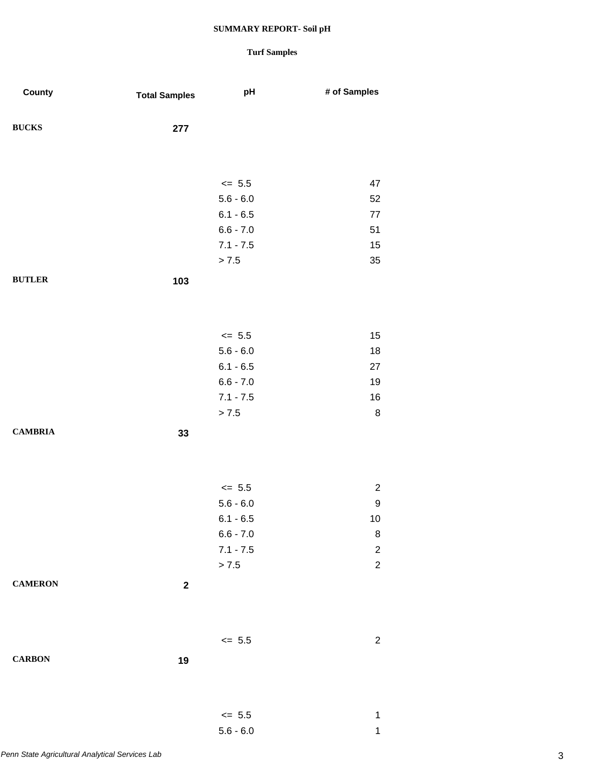## **Turf Samples**

5.6 - 6.0 1

| County         | <b>Total Samples</b> | pH          | # of Samples   |
|----------------|----------------------|-------------|----------------|
| <b>BUCKS</b>   | 277                  |             |                |
|                |                      |             |                |
|                |                      | $\leq$ 5.5  | 47             |
|                |                      | $5.6 - 6.0$ | 52             |
|                |                      | $6.1 - 6.5$ | $77\,$         |
|                |                      | $6.6 - 7.0$ | 51             |
|                |                      | $7.1 - 7.5$ | 15             |
|                |                      | > 7.5       | 35             |
| <b>BUTLER</b>  | 103                  |             |                |
|                |                      |             |                |
|                |                      |             |                |
|                |                      | $\leq$ 5.5  | 15             |
|                |                      | $5.6 - 6.0$ | 18             |
|                |                      | $6.1 - 6.5$ | 27             |
|                |                      | $6.6 - 7.0$ | 19             |
|                |                      | $7.1 - 7.5$ | 16             |
|                |                      | > 7.5       | 8              |
| <b>CAMBRIA</b> | 33                   |             |                |
|                |                      |             |                |
|                |                      |             |                |
|                |                      | $\le$ 5.5   | $\overline{c}$ |
|                |                      | $5.6 - 6.0$ | 9              |
|                |                      | $6.1 - 6.5$ | 10             |
|                |                      | $6.6 - 7.0$ | $\bf 8$        |
|                |                      | $7.1 - 7.5$ | $\overline{c}$ |
|                |                      | $> 7.5$     | $\overline{c}$ |
| <b>CAMERON</b> | $\boldsymbol{2}$     |             |                |
|                |                      |             |                |
|                |                      |             |                |
|                |                      | $\leq$ 5.5  | $\overline{c}$ |
| <b>CARBON</b>  | 19                   |             |                |
|                |                      |             |                |
|                |                      |             |                |
|                |                      | $\leq$ 5.5  | 1              |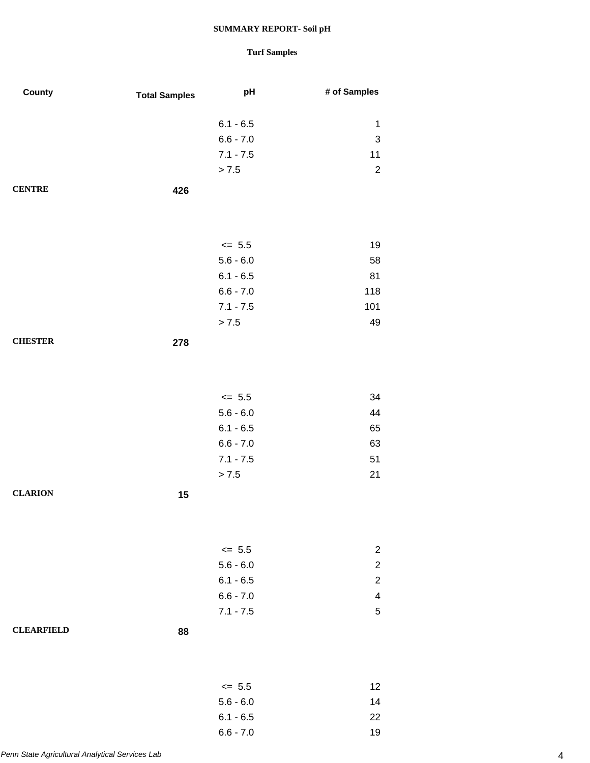| County            | <b>Total Samples</b> | pH                     | # of Samples              |
|-------------------|----------------------|------------------------|---------------------------|
|                   |                      | $6.1 - 6.5$            | $\mathbf{1}$              |
|                   |                      | $6.6 - 7.0$            | $\ensuremath{\mathsf{3}}$ |
|                   |                      | $7.1 - 7.5$            | 11                        |
|                   |                      | > 7.5                  | $\overline{c}$            |
| <b>CENTRE</b>     |                      |                        |                           |
|                   | 426                  |                        |                           |
|                   |                      |                        |                           |
|                   |                      |                        |                           |
|                   |                      | $\le$ 5.5              | 19                        |
|                   |                      | $5.6 - 6.0$            | 58                        |
|                   |                      | $6.1 - 6.5$            | 81                        |
|                   |                      | $6.6 - 7.0$            | 118<br>101                |
|                   |                      | $7.1 - 7.5$<br>$> 7.5$ | 49                        |
|                   |                      |                        |                           |
| <b>CHESTER</b>    | 278                  |                        |                           |
|                   |                      |                        |                           |
|                   |                      |                        |                           |
|                   |                      | $\le$ 5.5              | 34                        |
|                   |                      | $5.6 - 6.0$            | 44                        |
|                   |                      | $6.1 - 6.5$            | 65                        |
|                   |                      | $6.6 - 7.0$            | 63                        |
|                   |                      | $7.1 - 7.5$            | 51                        |
|                   |                      | $> 7.5$                | 21                        |
| <b>CLARION</b>    | 15                   |                        |                           |
|                   |                      |                        |                           |
|                   |                      |                        |                           |
|                   |                      | $\le$ 5.5              | $\overline{c}$            |
|                   |                      | $5.6 - 6.0$            | $\boldsymbol{2}$          |
|                   |                      | $6.1 - 6.5$            | $\overline{c}$            |
|                   |                      | $6.6 - 7.0$            | 4                         |
|                   |                      | $7.1 - 7.5$            | $\sqrt{5}$                |
| <b>CLEARFIELD</b> | 88                   |                        |                           |
|                   |                      |                        |                           |
|                   |                      |                        |                           |
|                   |                      | $\leq$ 5.5             | 12                        |
|                   |                      | $5.6 - 6.0$            | 14                        |
|                   |                      | $6.1 - 6.5$            | 22                        |
|                   |                      | $6.6 - 7.0$            | 19                        |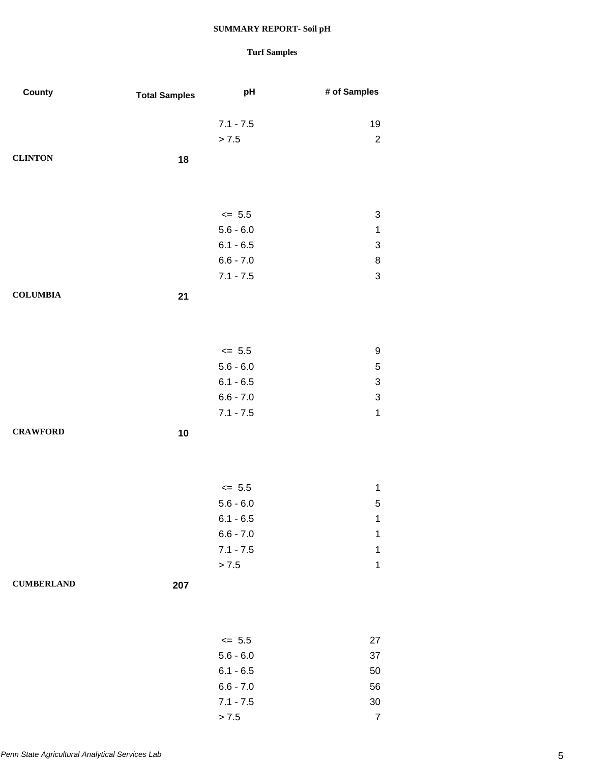| County            | <b>Total Samples</b> | pH          | # of Samples              |
|-------------------|----------------------|-------------|---------------------------|
|                   |                      | $7.1 - 7.5$ | 19                        |
|                   |                      | > 7.5       | $\overline{2}$            |
| <b>CLINTON</b>    | 18                   |             |                           |
|                   |                      |             |                           |
|                   |                      | $\leq$ 5.5  | 3                         |
|                   |                      | $5.6 - 6.0$ | $\mathbf 1$               |
|                   |                      | $6.1 - 6.5$ | 3                         |
|                   |                      | $6.6 - 7.0$ | 8                         |
|                   |                      | $7.1 - 7.5$ | $\sqrt{3}$                |
| <b>COLUMBIA</b>   |                      |             |                           |
|                   | 21                   |             |                           |
|                   |                      |             |                           |
|                   |                      | $\le$ 5.5   | 9                         |
|                   |                      | $5.6 - 6.0$ | $\sqrt{5}$                |
|                   |                      | $6.1 - 6.5$ | $\ensuremath{\mathsf{3}}$ |
|                   |                      | $6.6 - 7.0$ | $\ensuremath{\mathsf{3}}$ |
|                   |                      | $7.1 - 7.5$ | $\mathbf{1}$              |
| <b>CRAWFORD</b>   | 10                   |             |                           |
|                   |                      |             |                           |
|                   |                      | $\le$ 5.5   | $\mathbf 1$               |
|                   |                      | $5.6 - 6.0$ | 5                         |
|                   |                      | $6.1 - 6.5$ | 1                         |
|                   |                      | $6.6 - 7.0$ | 1                         |
|                   |                      | $7.1 - 7.5$ | 1                         |
|                   |                      | > 7.5       | 1                         |
| <b>CUMBERLAND</b> | 207                  |             |                           |
|                   |                      |             |                           |
|                   |                      |             |                           |
|                   |                      | $\leq$ 5.5  | 27                        |
|                   |                      | $5.6 - 6.0$ | 37                        |
|                   |                      | $6.1 - 6.5$ | 50                        |
|                   |                      | $6.6 - 7.0$ | 56                        |
|                   |                      | $7.1 - 7.5$ | $30\,$                    |
|                   |                      | $> 7.5$     | $\overline{7}$            |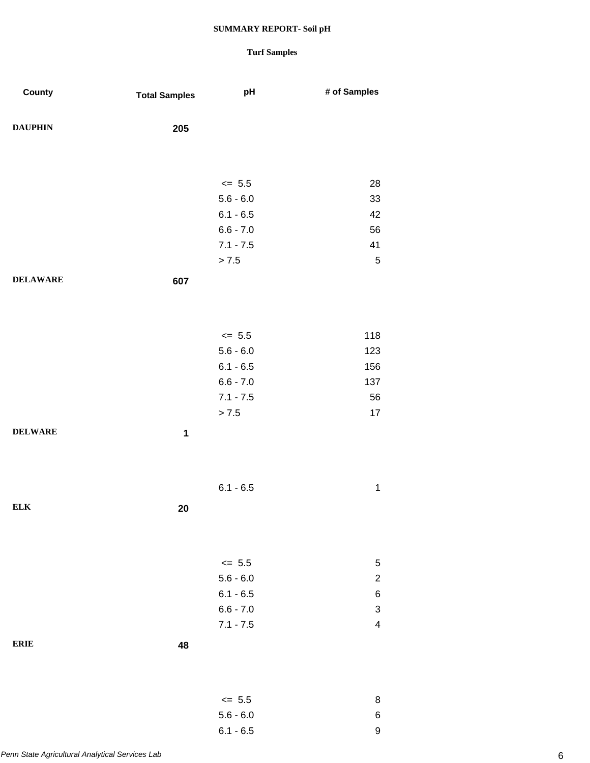| County          | <b>Total Samples</b> | pH                   | # of Samples            |
|-----------------|----------------------|----------------------|-------------------------|
| <b>DAUPHIN</b>  | 205                  |                      |                         |
|                 |                      |                      |                         |
|                 |                      |                      |                         |
|                 |                      | $\leq$ 5.5           | 28                      |
|                 |                      | $5.6 - 6.0$          | 33                      |
|                 |                      | $6.1 - 6.5$          | 42                      |
|                 |                      | $6.6 - 7.0$          | 56                      |
|                 |                      | $7.1 - 7.5$          | 41                      |
|                 |                      | > 7.5                | 5                       |
| <b>DELAWARE</b> | 607                  |                      |                         |
|                 |                      |                      |                         |
|                 |                      |                      |                         |
|                 |                      | $\leq$ 5.5           | 118                     |
|                 |                      | $5.6 - 6.0$          | 123                     |
|                 |                      | $6.1 - 6.5$          | 156                     |
|                 |                      | $6.6 - 7.0$          | 137                     |
|                 |                      | $7.1 - 7.5$<br>> 7.5 | 56<br>17                |
| <b>DELWARE</b>  |                      |                      |                         |
|                 | 1                    |                      |                         |
|                 |                      |                      |                         |
|                 |                      |                      |                         |
|                 |                      | $6.1 - 6.5$          | $\mathbf 1$             |
| <b>ELK</b>      | 20                   |                      |                         |
|                 |                      |                      |                         |
|                 |                      |                      |                         |
|                 |                      | $\le$ 5.5            | 5                       |
|                 |                      | $5.6 - 6.0$          | $\overline{c}$          |
|                 |                      | $6.1 - 6.5$          | 6                       |
|                 |                      | $6.6 - 7.0$          | 3                       |
|                 |                      | $7.1 - 7.5$          | $\overline{\mathbf{4}}$ |
| <b>ERIE</b>     | 48                   |                      |                         |
|                 |                      |                      |                         |
|                 |                      |                      |                         |
|                 |                      | $\le$ 5.5            | 8                       |
|                 |                      | $5.6 - 6.0$          | 6                       |
|                 |                      | $6.1 - 6.5$          | $\boldsymbol{9}$        |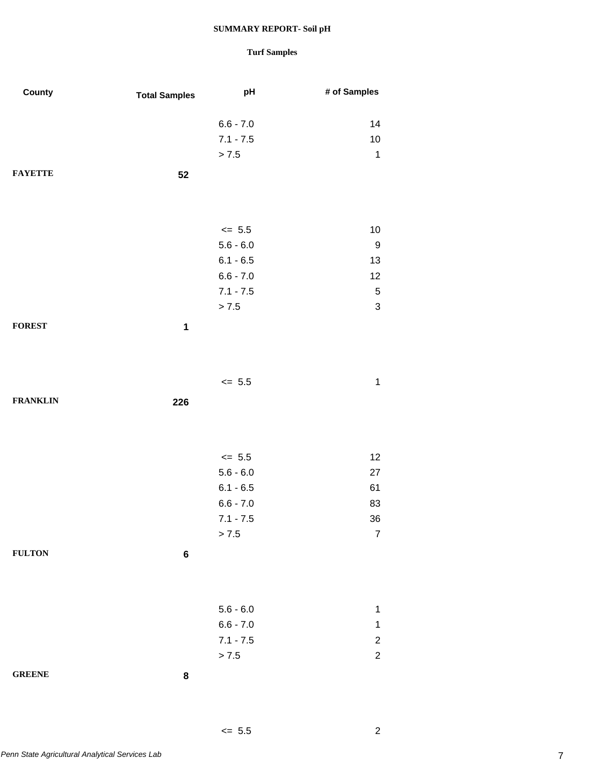## **Turf Samples**

 $\leq 5.5$  2

| County          | <b>Total Samples</b> | pH          | # of Samples              |
|-----------------|----------------------|-------------|---------------------------|
|                 |                      |             |                           |
|                 |                      | $6.6 - 7.0$ | 14                        |
|                 |                      | $7.1 - 7.5$ | $10$                      |
|                 |                      | > 7.5       | $\mathbf 1$               |
| <b>FAYETTE</b>  | 52                   |             |                           |
|                 |                      |             |                           |
|                 |                      |             |                           |
|                 |                      | $\le$ 5.5   | $10$                      |
|                 |                      | $5.6 - 6.0$ | $\boldsymbol{9}$          |
|                 |                      | $6.1 - 6.5$ | 13                        |
|                 |                      | $6.6 - 7.0$ | 12                        |
|                 |                      | $7.1 - 7.5$ | $\sqrt{5}$                |
|                 |                      | > 7.5       | $\ensuremath{\mathsf{3}}$ |
|                 |                      |             |                           |
| <b>FOREST</b>   | $\mathbf{1}$         |             |                           |
|                 |                      |             |                           |
|                 |                      |             |                           |
|                 |                      | $\leq$ 5.5  | $\mathbf 1$               |
| <b>FRANKLIN</b> | 226                  |             |                           |
|                 |                      |             |                           |
|                 |                      |             |                           |
|                 |                      |             |                           |
|                 |                      | $\le$ 5.5   | 12                        |
|                 |                      | $5.6 - 6.0$ | 27                        |
|                 |                      | $6.1 - 6.5$ | 61                        |
|                 |                      | $6.6 - 7.0$ | 83                        |
|                 |                      | $7.1 - 7.5$ | 36                        |
|                 |                      | > 7.5       | $\overline{7}$            |
| <b>FULTON</b>   | $\bf 6$              |             |                           |
|                 |                      |             |                           |
|                 |                      |             |                           |
|                 |                      | $5.6 - 6.0$ | $\mathbf 1$               |
|                 |                      | $6.6 - 7.0$ | $\mathbf 1$               |
|                 |                      | $7.1 - 7.5$ | $\overline{c}$            |
|                 |                      | > 7.5       | $\overline{c}$            |
|                 |                      |             |                           |
| <b>GREENE</b>   | 8                    |             |                           |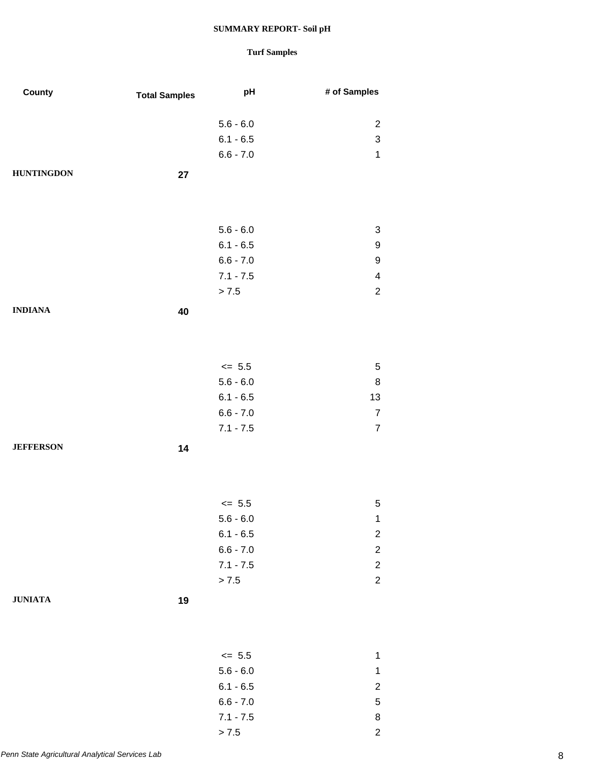| County            | <b>Total Samples</b> | pH                   | # of Samples            |
|-------------------|----------------------|----------------------|-------------------------|
|                   |                      |                      |                         |
|                   |                      | $5.6 - 6.0$          | $\overline{c}$          |
|                   |                      | $6.1 - 6.5$          | 3                       |
|                   |                      | $6.6 - 7.0$          | $\mathbf 1$             |
| <b>HUNTINGDON</b> | 27                   |                      |                         |
|                   |                      |                      |                         |
|                   |                      |                      |                         |
|                   |                      | $5.6 - 6.0$          | 3                       |
|                   |                      | $6.1 - 6.5$          | 9                       |
|                   |                      | $6.6 - 7.0$          | 9                       |
|                   |                      | $7.1 - 7.5$          | $\overline{\mathbf{4}}$ |
|                   |                      | > 7.5                | $\overline{2}$          |
| <b>INDIANA</b>    | 40                   |                      |                         |
|                   |                      |                      |                         |
|                   |                      |                      |                         |
|                   |                      | $\leq$ 5.5           | $\sqrt{5}$              |
|                   |                      | $5.6 - 6.0$          | 8                       |
|                   |                      | $6.1 - 6.5$          | 13                      |
|                   |                      | $6.6 - 7.0$          | $\boldsymbol{7}$        |
|                   |                      | $7.1 - 7.5$          | $\overline{7}$          |
| <b>JEFFERSON</b>  | 14                   |                      |                         |
|                   |                      |                      |                         |
|                   |                      |                      |                         |
|                   |                      |                      |                         |
|                   |                      | $<= 5.5$             | 5                       |
|                   |                      | $5.6 - 6.0$          | $\mathbf{1}$            |
|                   |                      | $6.1 - 6.5$          | $\overline{\mathbf{c}}$ |
|                   |                      | $6.6 - 7.0$          | $\overline{c}$          |
|                   |                      | $7.1 - 7.5$<br>> 7.5 | $\overline{c}$          |
|                   |                      |                      | $\overline{c}$          |
| <b>JUNIATA</b>    | 19                   |                      |                         |
|                   |                      |                      |                         |
|                   |                      |                      |                         |
|                   |                      | $\leq$ 5.5           | $\mathbf{1}$            |
|                   |                      | $5.6 - 6.0$          | $\mathbf{1}$            |
|                   |                      | $6.1 - 6.5$          | $\overline{c}$          |
|                   |                      | $6.6 - 7.0$          | $\,$ 5 $\,$             |
|                   |                      | $7.1 - 7.5$          | 8                       |
|                   |                      | $> 7.5$              | $\overline{c}$          |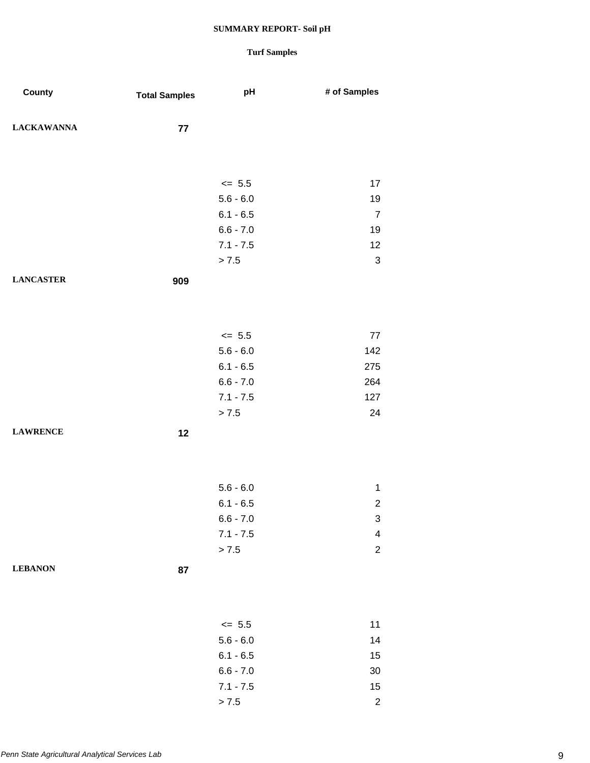| County            | <b>Total Samples</b> | pH          | # of Samples              |
|-------------------|----------------------|-------------|---------------------------|
| <b>LACKAWANNA</b> | 77                   |             |                           |
|                   |                      |             |                           |
|                   |                      | $\leq$ 5.5  | 17                        |
|                   |                      | $5.6 - 6.0$ | 19                        |
|                   |                      | $6.1 - 6.5$ | $\overline{7}$            |
|                   |                      | $6.6 - 7.0$ | 19                        |
|                   |                      | $7.1 - 7.5$ | 12                        |
|                   |                      | > 7.5       | $\mathfrak{S}$            |
| <b>LANCASTER</b>  | 909                  |             |                           |
|                   |                      |             |                           |
|                   |                      | $\leq$ 5.5  | 77                        |
|                   |                      | $5.6 - 6.0$ | 142                       |
|                   |                      | $6.1 - 6.5$ | 275                       |
|                   |                      | $6.6 - 7.0$ | 264                       |
|                   |                      | $7.1 - 7.5$ | 127                       |
|                   |                      | > 7.5       | 24                        |
| <b>LAWRENCE</b>   | 12                   |             |                           |
|                   |                      |             |                           |
|                   |                      | $5.6 - 6.0$ | $\mathbf{1}$              |
|                   |                      | $6.1 - 6.5$ | $\overline{c}$            |
|                   |                      | $6.6 - 7.0$ | $\ensuremath{\mathsf{3}}$ |
|                   |                      | $7.1 - 7.5$ | $\overline{\mathbf{4}}$   |
|                   |                      | > 7.5       | $\overline{c}$            |
| <b>LEBANON</b>    | 87                   |             |                           |
|                   |                      |             |                           |
|                   |                      | $\leq$ 5.5  | 11                        |
|                   |                      | $5.6 - 6.0$ | 14                        |
|                   |                      | $6.1 - 6.5$ | 15                        |
|                   |                      | $6.6 - 7.0$ | $30\,$                    |
|                   |                      | $7.1 - 7.5$ | 15                        |
|                   |                      | > 7.5       | $\overline{c}$            |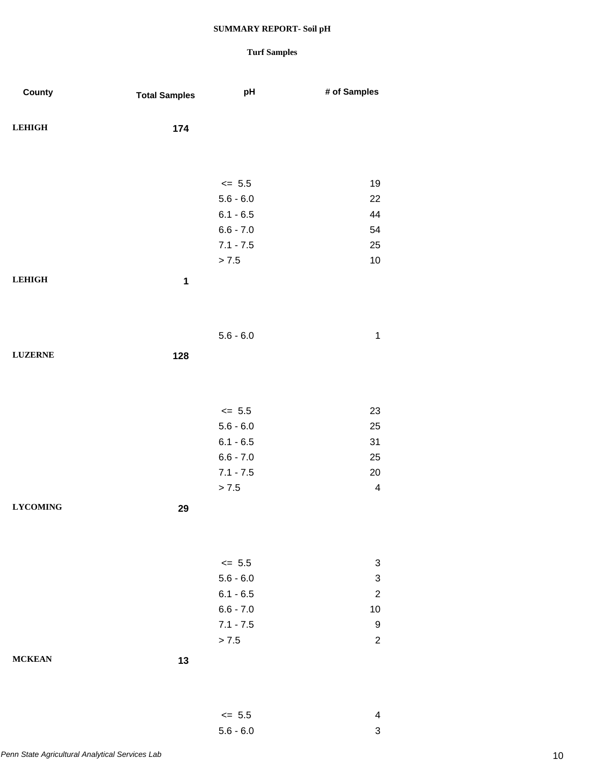| County          | <b>Total Samples</b> | pH          | # of Samples              |
|-----------------|----------------------|-------------|---------------------------|
|                 |                      |             |                           |
| <b>LEHIGH</b>   | 174                  |             |                           |
|                 |                      |             |                           |
|                 |                      |             |                           |
|                 |                      | $\leq$ 5.5  | 19                        |
|                 |                      | $5.6 - 6.0$ | 22                        |
|                 |                      | $6.1 - 6.5$ | 44                        |
|                 |                      | $6.6 - 7.0$ | 54                        |
|                 |                      | $7.1 - 7.5$ | 25                        |
|                 |                      | > 7.5       | $10$                      |
| <b>LEHIGH</b>   | $\mathbf 1$          |             |                           |
|                 |                      |             |                           |
|                 |                      |             |                           |
|                 |                      | $5.6 - 6.0$ | $\mathbf 1$               |
| <b>LUZERNE</b>  | 128                  |             |                           |
|                 |                      |             |                           |
|                 |                      |             |                           |
|                 |                      | $\le$ 5.5   | 23                        |
|                 |                      | $5.6 - 6.0$ | 25                        |
|                 |                      | $6.1 - 6.5$ | 31                        |
|                 |                      | $6.6 - 7.0$ | 25                        |
|                 |                      | $7.1 - 7.5$ | $20\,$                    |
|                 |                      | > 7.5       | $\overline{\mathbf{4}}$   |
| <b>LYCOMING</b> | 29                   |             |                           |
|                 |                      |             |                           |
|                 |                      |             |                           |
|                 |                      | $\le$ 5.5   | 3                         |
|                 |                      | $5.6 - 6.0$ | $\ensuremath{\mathsf{3}}$ |
|                 |                      | $6.1 - 6.5$ | $\overline{c}$            |
|                 |                      | $6.6 - 7.0$ | $10$                      |
|                 |                      | $7.1 - 7.5$ | $\boldsymbol{9}$          |
|                 |                      | > 7.5       | $\overline{c}$            |
| <b>MCKEAN</b>   | 13                   |             |                           |
|                 |                      |             |                           |
|                 |                      |             |                           |
|                 |                      | $\leq$ 5.5  | $\overline{\mathbf{4}}$   |
|                 |                      | $5.6 - 6.0$ | $\mathsf 3$               |
|                 |                      |             |                           |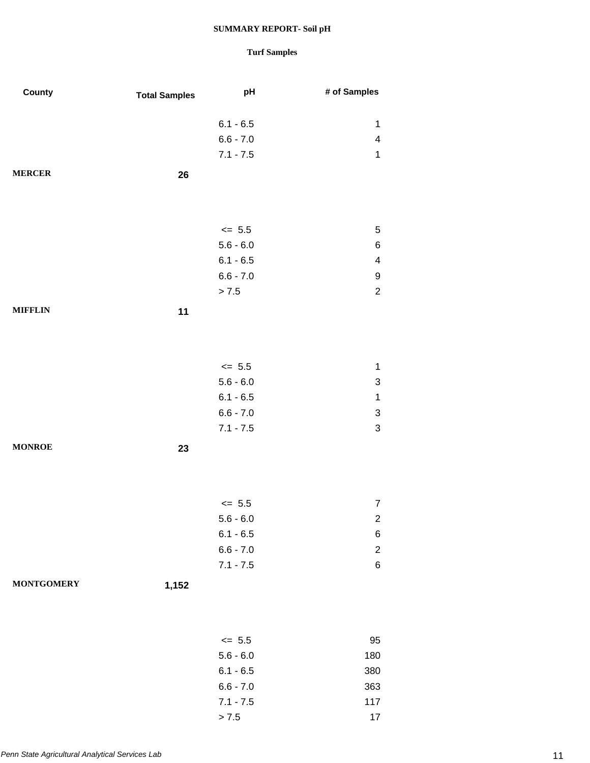| County            | <b>Total Samples</b> | pH          | # of Samples              |
|-------------------|----------------------|-------------|---------------------------|
|                   |                      |             |                           |
|                   |                      | $6.1 - 6.5$ | $\mathbf 1$               |
|                   |                      | $6.6 - 7.0$ | $\overline{\mathbf{4}}$   |
|                   |                      | $7.1 - 7.5$ | $\mathbf 1$               |
| <b>MERCER</b>     | 26                   |             |                           |
|                   |                      |             |                           |
|                   |                      |             |                           |
|                   |                      | $\leq$ 5.5  | $\,$ 5 $\,$               |
|                   |                      | $5.6 - 6.0$ | $\,6$                     |
|                   |                      | $6.1 - 6.5$ | $\overline{\mathbf{4}}$   |
|                   |                      | $6.6 - 7.0$ | 9                         |
|                   |                      | > 7.5       | $\boldsymbol{2}$          |
| <b>MIFFLIN</b>    | 11                   |             |                           |
|                   |                      |             |                           |
|                   |                      |             |                           |
|                   |                      |             |                           |
|                   |                      | $\le$ 5.5   | $\mathbf 1$               |
|                   |                      | $5.6 - 6.0$ | $\ensuremath{\mathsf{3}}$ |
|                   |                      | $6.1 - 6.5$ | $\mathbf 1$               |
|                   |                      | $6.6 - 7.0$ | $\ensuremath{\mathsf{3}}$ |
|                   |                      | $7.1 - 7.5$ | $\mathsf 3$               |
| <b>MONROE</b>     | 23                   |             |                           |
|                   |                      |             |                           |
|                   |                      |             |                           |
|                   |                      | $\leq$ 5.5  | 7                         |
|                   |                      | $5.6 - 6.0$ |                           |
|                   |                      | $6.1 - 6.5$ | $\mathbf{z}$<br>6         |
|                   |                      | $6.6 - 7.0$ | $\boldsymbol{2}$          |
|                   |                      | $7.1 - 7.5$ | $\,6$                     |
|                   |                      |             |                           |
| <b>MONTGOMERY</b> | 1,152                |             |                           |
|                   |                      |             |                           |
|                   |                      |             |                           |
|                   |                      | $\leq$ 5.5  | 95                        |
|                   |                      | $5.6 - 6.0$ | 180                       |
|                   |                      | $6.1 - 6.5$ | 380                       |
|                   |                      | $6.6 - 7.0$ | 363                       |
|                   |                      | $7.1 - 7.5$ | 117                       |
|                   |                      | > 7.5       | 17                        |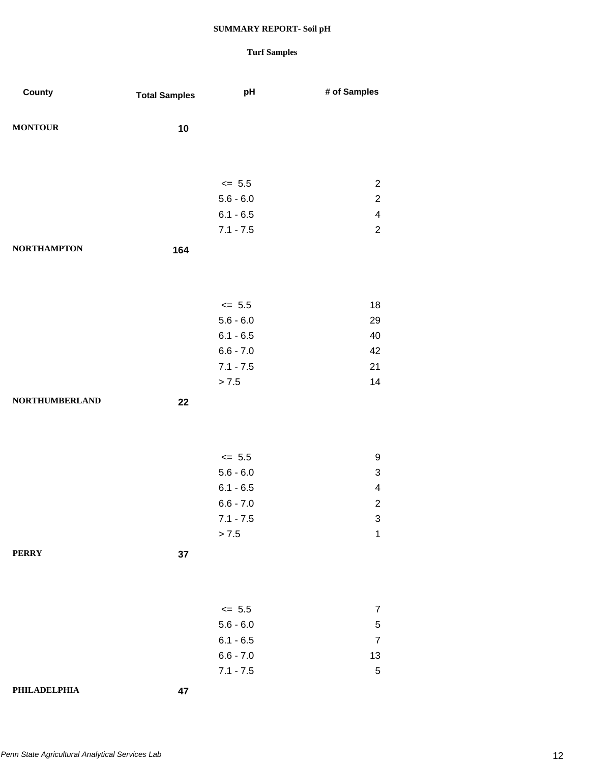| County                | <b>Total Samples</b> | pH          | # of Samples            |
|-----------------------|----------------------|-------------|-------------------------|
| <b>MONTOUR</b>        | 10                   |             |                         |
|                       |                      |             |                         |
|                       |                      |             |                         |
|                       |                      | $\leq$ 5.5  | $\overline{c}$          |
|                       |                      | $5.6 - 6.0$ | $\overline{2}$          |
|                       |                      | $6.1 - 6.5$ | $\overline{\mathbf{4}}$ |
|                       |                      | $7.1 - 7.5$ | $\overline{2}$          |
| <b>NORTHAMPTON</b>    | 164                  |             |                         |
|                       |                      |             |                         |
|                       |                      |             |                         |
|                       |                      | $\leq$ 5.5  | 18                      |
|                       |                      | $5.6 - 6.0$ | 29                      |
|                       |                      | $6.1 - 6.5$ | 40                      |
|                       |                      | $6.6 - 7.0$ | 42                      |
|                       |                      | $7.1 - 7.5$ | 21                      |
|                       |                      | > 7.5       | 14                      |
| <b>NORTHUMBERLAND</b> | 22                   |             |                         |
|                       |                      |             |                         |
|                       |                      |             |                         |
|                       |                      | $\leq$ 5.5  | 9                       |
|                       |                      | $5.6 - 6.0$ | 3                       |
|                       |                      | $6.1 - 6.5$ | $\overline{\mathbf{4}}$ |
|                       |                      | $6.6 - 7.0$ | $\overline{c}$          |
|                       |                      | $7.1 - 7.5$ | 3                       |
|                       |                      | > 7.5       | $\mathbf 1$             |
| <b>PERRY</b>          | 37                   |             |                         |
|                       |                      |             |                         |
|                       |                      |             |                         |
|                       |                      |             |                         |
|                       |                      | $\leq$ 5.5  | $\overline{7}$          |
|                       |                      | $5.6 - 6.0$ | $\,$ 5 $\,$             |
|                       |                      | $6.1 - 6.5$ | $\overline{7}$          |
|                       |                      | $6.6 - 7.0$ | 13                      |
|                       |                      | $7.1 - 7.5$ | $\sqrt{5}$              |
| PHILADELPHIA          | 47                   |             |                         |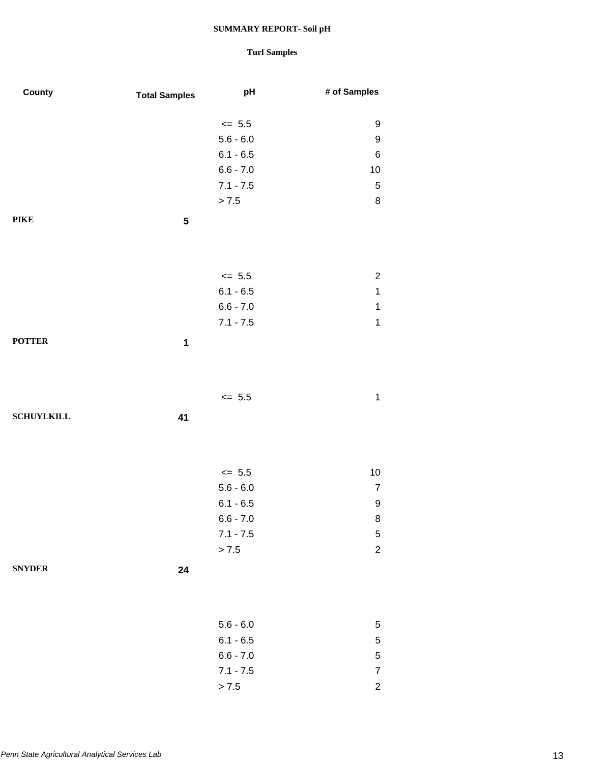| County            | <b>Total Samples</b> | pH          | # of Samples     |
|-------------------|----------------------|-------------|------------------|
|                   |                      | $\leq$ 5.5  | 9                |
|                   |                      | $5.6 - 6.0$ | $\boldsymbol{9}$ |
|                   |                      | $6.1 - 6.5$ | $\,6$            |
|                   |                      | $6.6 - 7.0$ | 10               |
|                   |                      | $7.1 - 7.5$ | $\sqrt{5}$       |
|                   |                      | > 7.5       | $\bf 8$          |
| PIKE              | ${\bf 5}$            |             |                  |
|                   |                      |             |                  |
|                   |                      | $\le$ 5.5   | $\overline{c}$   |
|                   |                      | $6.1 - 6.5$ | $\mathbf 1$      |
|                   |                      | $6.6 - 7.0$ | $\mathbf 1$      |
|                   |                      | $7.1 - 7.5$ | $\mathbf 1$      |
| <b>POTTER</b>     | $\mathbf 1$          |             |                  |
|                   |                      |             |                  |
|                   |                      | $\leq$ 5.5  | $\mathbf 1$      |
| <b>SCHUYLKILL</b> | 41                   |             |                  |
|                   |                      |             |                  |
|                   |                      | $\leq$ 5.5  | $10$             |
|                   |                      | $5.6 - 6.0$ | $\boldsymbol{7}$ |
|                   |                      | $6.1 - 6.5$ | 9                |
|                   |                      | $6.6 - 7.0$ | 8                |
|                   |                      | $7.1 - 7.5$ | $\mathbf 5$      |
|                   |                      | > 7.5       | $\overline{c}$   |
| <b>SNYDER</b>     | 24                   |             |                  |
|                   |                      |             |                  |
|                   |                      | $5.6 - 6.0$ | 5                |
|                   |                      | $6.1 - 6.5$ | $\mathbf 5$      |
|                   |                      | $6.6 - 7.0$ | $\mathbf 5$      |
|                   |                      | $7.1 - 7.5$ | $\boldsymbol{7}$ |
|                   |                      | > 7.5       | $\boldsymbol{2}$ |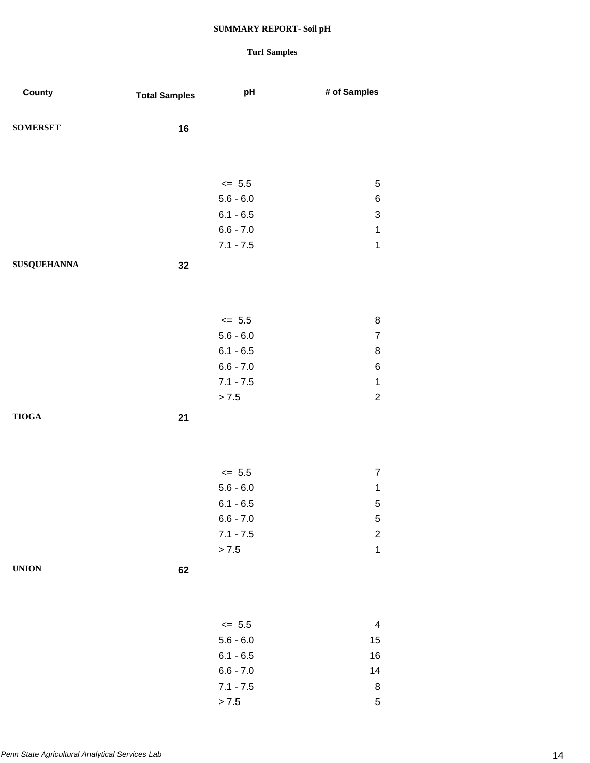| County             | <b>Total Samples</b> | pH          | # of Samples              |
|--------------------|----------------------|-------------|---------------------------|
| <b>SOMERSET</b>    | 16                   |             |                           |
|                    |                      |             |                           |
|                    |                      | $\leq$ 5.5  | $\sqrt{5}$                |
|                    |                      | $5.6 - 6.0$ | 6                         |
|                    |                      | $6.1 - 6.5$ | $\ensuremath{\mathsf{3}}$ |
|                    |                      | $6.6 - 7.0$ | $\mathbf 1$               |
|                    |                      | $7.1 - 7.5$ | $\mathbf 1$               |
| <b>SUSQUEHANNA</b> | 32                   |             |                           |
|                    |                      |             |                           |
|                    |                      | $\leq 5.5$  | 8                         |
|                    |                      | $5.6 - 6.0$ | $\overline{7}$            |
|                    |                      | $6.1 - 6.5$ | 8                         |
|                    |                      | $6.6 - 7.0$ | 6                         |
|                    |                      | $7.1 - 7.5$ | $\mathbf 1$               |
|                    |                      | > 7.5       | $\sqrt{2}$                |
| <b>TIOGA</b>       | 21                   |             |                           |
|                    |                      |             |                           |
|                    |                      | $\leq$ 5.5  | $\overline{7}$            |
|                    |                      | $5.6 - 6.0$ | $\mathbf{1}$              |
|                    |                      | $6.1 - 6.5$ | $\mathbf 5$               |
|                    |                      | $6.6 - 7.0$ | 5                         |
|                    |                      | $7.1 - 7.5$ | $\overline{c}$            |
|                    |                      | > 7.5       | $\mathbf 1$               |
| <b>UNION</b>       | 62                   |             |                           |
|                    |                      |             |                           |
|                    |                      | $\leq$ 5.5  | $\overline{\mathbf{4}}$   |
|                    |                      | $5.6 - 6.0$ | 15                        |
|                    |                      | $6.1 - 6.5$ | 16                        |
|                    |                      | $6.6 - 7.0$ | 14                        |
|                    |                      | $7.1 - 7.5$ | 8                         |
|                    |                      | > 7.5       | $\,$ 5 $\,$               |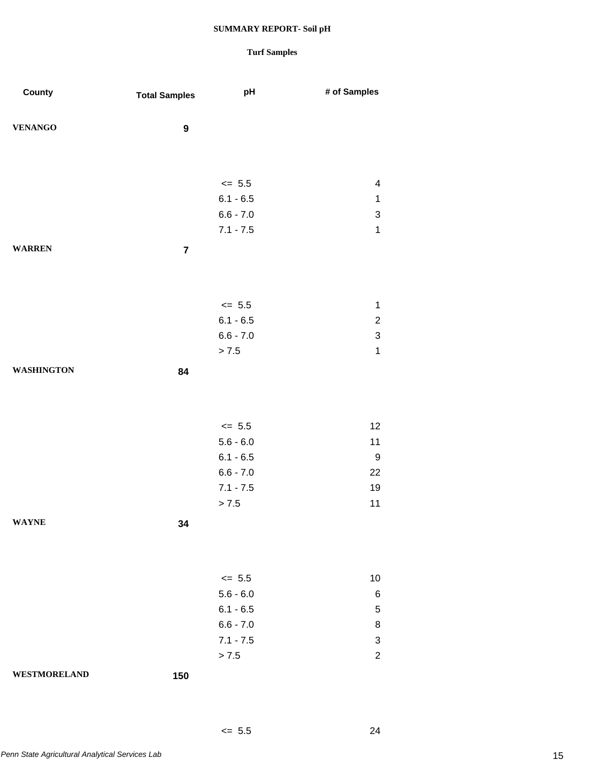## **Turf Samples**

 $\leq 5.5$  24

| County              | <b>Total Samples</b> | pH                         | # of Samples              |
|---------------------|----------------------|----------------------------|---------------------------|
|                     |                      |                            |                           |
| <b>VENANGO</b>      | $\boldsymbol{9}$     |                            |                           |
|                     |                      |                            |                           |
|                     |                      |                            |                           |
|                     |                      | $\leq$ 5.5                 | $\overline{\mathbf{4}}$   |
|                     |                      | $6.1 - 6.5$                | $\mathbf{1}$              |
|                     |                      | $6.6 - 7.0$                | 3                         |
|                     |                      | $7.1 - 7.5$                | $\mathbf 1$               |
| <b>WARREN</b>       | $\overline{7}$       |                            |                           |
|                     |                      |                            |                           |
|                     |                      |                            |                           |
|                     |                      | $\leq$ 5.5                 | $\mathbf 1$               |
|                     |                      | $6.1 - 6.5$                | $\overline{c}$            |
|                     |                      | $6.6 - 7.0$                | $\ensuremath{\mathsf{3}}$ |
|                     |                      | > 7.5                      | $\mathbf 1$               |
| <b>WASHINGTON</b>   | 84                   |                            |                           |
|                     |                      |                            |                           |
|                     |                      |                            |                           |
|                     |                      | $\leq$ 5.5                 | 12                        |
|                     |                      | $5.6 - 6.0$                | 11                        |
|                     |                      | $6.1 - 6.5$                | $\boldsymbol{9}$          |
|                     |                      | $6.6 - 7.0$                | 22                        |
|                     |                      | $7.1 - 7.5$                | 19                        |
|                     |                      | > 7.5                      | 11                        |
| <b>WAYNE</b>        | 34                   |                            |                           |
|                     |                      |                            |                           |
|                     |                      |                            |                           |
|                     |                      |                            |                           |
|                     |                      | $\leq$ 5.5                 | 10                        |
|                     |                      | $5.6 - 6.0$                | 6                         |
|                     |                      | $6.1 - 6.5$<br>$6.6 - 7.0$ | 5                         |
|                     |                      | $7.1 - 7.5$                | 8<br>3                    |
|                     |                      | > 7.5                      | $\overline{2}$            |
|                     |                      |                            |                           |
| <b>WESTMORELAND</b> | 150                  |                            |                           |